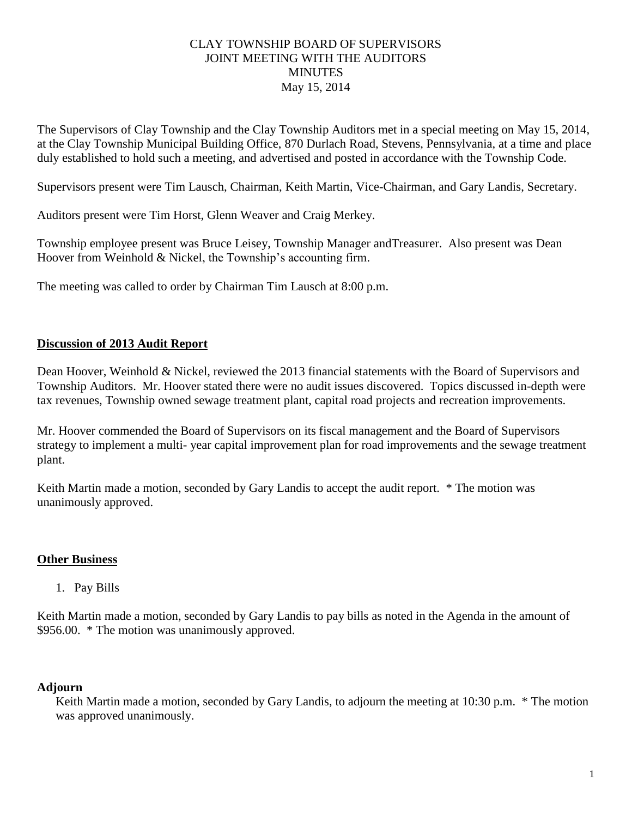## CLAY TOWNSHIP BOARD OF SUPERVISORS JOINT MEETING WITH THE AUDITORS MINUTES May 15, 2014

The Supervisors of Clay Township and the Clay Township Auditors met in a special meeting on May 15, 2014, at the Clay Township Municipal Building Office, 870 Durlach Road, Stevens, Pennsylvania, at a time and place duly established to hold such a meeting, and advertised and posted in accordance with the Township Code.

Supervisors present were Tim Lausch, Chairman, Keith Martin, Vice-Chairman, and Gary Landis, Secretary.

Auditors present were Tim Horst, Glenn Weaver and Craig Merkey.

Township employee present was Bruce Leisey, Township Manager andTreasurer. Also present was Dean Hoover from Weinhold & Nickel, the Township's accounting firm.

The meeting was called to order by Chairman Tim Lausch at 8:00 p.m.

## **Discussion of 2013 Audit Report**

Dean Hoover, Weinhold & Nickel, reviewed the 2013 financial statements with the Board of Supervisors and Township Auditors. Mr. Hoover stated there were no audit issues discovered. Topics discussed in-depth were tax revenues, Township owned sewage treatment plant, capital road projects and recreation improvements.

Mr. Hoover commended the Board of Supervisors on its fiscal management and the Board of Supervisors strategy to implement a multi- year capital improvement plan for road improvements and the sewage treatment plant.

Keith Martin made a motion, seconded by Gary Landis to accept the audit report.  $*$  The motion was unanimously approved.

## **Other Business**

1. Pay Bills

Keith Martin made a motion, seconded by Gary Landis to pay bills as noted in the Agenda in the amount of \$956.00. \* The motion was unanimously approved.

## **Adjourn**

Keith Martin made a motion, seconded by Gary Landis, to adjourn the meeting at 10:30 p.m. \* The motion was approved unanimously.